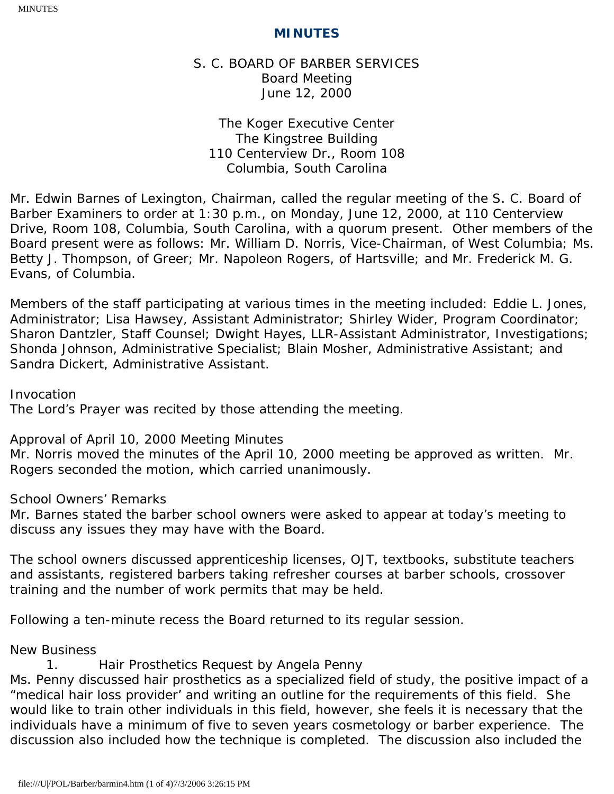# S. C. BOARD OF BARBER SERVICES Board Meeting June 12, 2000

The Koger Executive Center The Kingstree Building 110 Centerview Dr., Room 108 Columbia, South Carolina

Mr. Edwin Barnes of Lexington, Chairman, called the regular meeting of the S. C. Board of Barber Examiners to order at 1:30 p.m., on Monday, June 12, 2000, at 110 Centerview Drive, Room 108, Columbia, South Carolina, with a quorum present. Other members of the Board present were as follows: Mr. William D. Norris, Vice-Chairman, of West Columbia; Ms. Betty J. Thompson, of Greer; Mr. Napoleon Rogers, of Hartsville; and Mr. Frederick M. G. Evans, of Columbia.

Members of the staff participating at various times in the meeting included: Eddie L. Jones, Administrator; Lisa Hawsey, Assistant Administrator; Shirley Wider, Program Coordinator; Sharon Dantzler, Staff Counsel; Dwight Hayes, LLR-Assistant Administrator, Investigations; Shonda Johnson, Administrative Specialist; Blain Mosher, Administrative Assistant; and Sandra Dickert, Administrative Assistant.

Invocation

The Lord's Prayer was recited by those attending the meeting.

Approval of April 10, 2000 Meeting Minutes

Mr. Norris moved the minutes of the April 10, 2000 meeting be approved as written. Mr. Rogers seconded the motion, which carried unanimously.

School Owners' Remarks

Mr. Barnes stated the barber school owners were asked to appear at today's meeting to discuss any issues they may have with the Board.

The school owners discussed apprenticeship licenses, OJT, textbooks, substitute teachers and assistants, registered barbers taking refresher courses at barber schools, crossover training and the number of work permits that may be held.

Following a ten-minute recess the Board returned to its regular session.

New Business

1. Hair Prosthetics Request by Angela Penny

Ms. Penny discussed hair prosthetics as a specialized field of study, the positive impact of a "medical hair loss provider' and writing an outline for the requirements of this field. She would like to train other individuals in this field, however, she feels it is necessary that the individuals have a minimum of five to seven years cosmetology or barber experience. The discussion also included how the technique is completed. The discussion also included the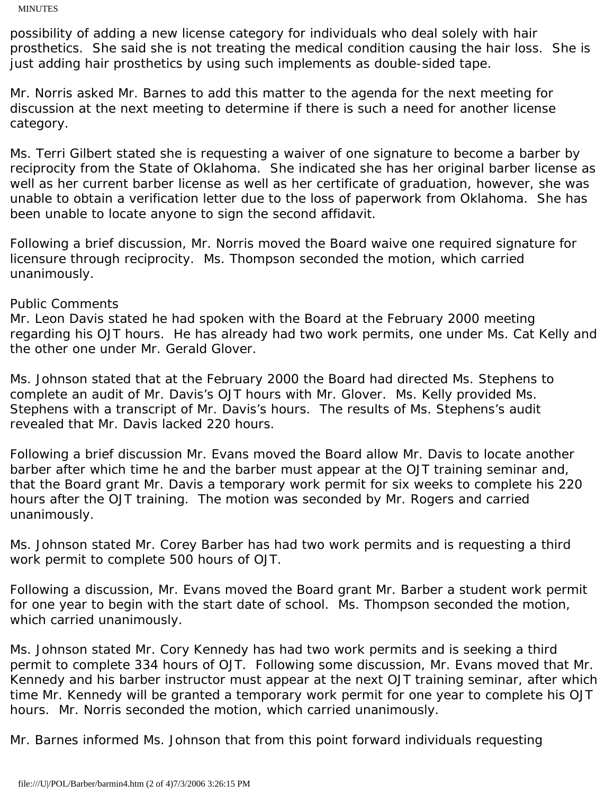possibility of adding a new license category for individuals who deal solely with hair prosthetics. She said she is not treating the medical condition causing the hair loss. She is just adding hair prosthetics by using such implements as double-sided tape.

Mr. Norris asked Mr. Barnes to add this matter to the agenda for the next meeting for discussion at the next meeting to determine if there is such a need for another license category.

Ms. Terri Gilbert stated she is requesting a waiver of one signature to become a barber by reciprocity from the State of Oklahoma. She indicated she has her original barber license as well as her current barber license as well as her certificate of graduation, however, she was unable to obtain a verification letter due to the loss of paperwork from Oklahoma. She has been unable to locate anyone to sign the second affidavit.

Following a brief discussion, Mr. Norris moved the Board waive one required signature for licensure through reciprocity. Ms. Thompson seconded the motion, which carried unanimously.

# Public Comments

Mr. Leon Davis stated he had spoken with the Board at the February 2000 meeting regarding his OJT hours. He has already had two work permits, one under Ms. Cat Kelly and the other one under Mr. Gerald Glover.

Ms. Johnson stated that at the February 2000 the Board had directed Ms. Stephens to complete an audit of Mr. Davis's OJT hours with Mr. Glover. Ms. Kelly provided Ms. Stephens with a transcript of Mr. Davis's hours. The results of Ms. Stephens's audit revealed that Mr. Davis lacked 220 hours.

Following a brief discussion Mr. Evans moved the Board allow Mr. Davis to locate another barber after which time he and the barber must appear at the OJT training seminar and, that the Board grant Mr. Davis a temporary work permit for six weeks to complete his 220 hours after the OJT training. The motion was seconded by Mr. Rogers and carried unanimously.

Ms. Johnson stated Mr. Corey Barber has had two work permits and is requesting a third work permit to complete 500 hours of OJT.

Following a discussion, Mr. Evans moved the Board grant Mr. Barber a student work permit for one year to begin with the start date of school. Ms. Thompson seconded the motion, which carried unanimously.

Ms. Johnson stated Mr. Cory Kennedy has had two work permits and is seeking a third permit to complete 334 hours of OJT. Following some discussion, Mr. Evans moved that Mr. Kennedy and his barber instructor must appear at the next OJT training seminar, after which time Mr. Kennedy will be granted a temporary work permit for one year to complete his OJT hours. Mr. Norris seconded the motion, which carried unanimously.

Mr. Barnes informed Ms. Johnson that from this point forward individuals requesting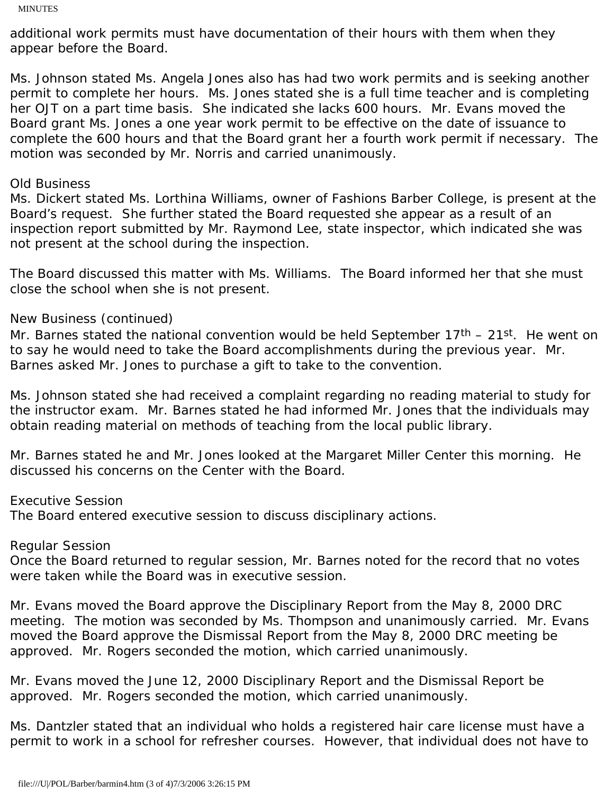additional work permits must have documentation of their hours with them when they appear before the Board.

Ms. Johnson stated Ms. Angela Jones also has had two work permits and is seeking another permit to complete her hours. Ms. Jones stated she is a full time teacher and is completing her OJT on a part time basis. She indicated she lacks 600 hours. Mr. Evans moved the Board grant Ms. Jones a one year work permit to be effective on the date of issuance to complete the 600 hours and that the Board grant her a fourth work permit if necessary. The motion was seconded by Mr. Norris and carried unanimously.

# Old Business

Ms. Dickert stated Ms. Lorthina Williams, owner of Fashions Barber College, is present at the Board's request. She further stated the Board requested she appear as a result of an inspection report submitted by Mr. Raymond Lee, state inspector, which indicated she was not present at the school during the inspection.

The Board discussed this matter with Ms. Williams. The Board informed her that she must close the school when she is not present.

### New Business (continued)

Mr. Barnes stated the national convention would be held September  $17<sup>th</sup> - 21<sup>st</sup>$ . He went on to say he would need to take the Board accomplishments during the previous year. Mr. Barnes asked Mr. Jones to purchase a gift to take to the convention.

Ms. Johnson stated she had received a complaint regarding no reading material to study for the instructor exam. Mr. Barnes stated he had informed Mr. Jones that the individuals may obtain reading material on methods of teaching from the local public library.

Mr. Barnes stated he and Mr. Jones looked at the Margaret Miller Center this morning. He discussed his concerns on the Center with the Board.

Executive Session

The Board entered executive session to discuss disciplinary actions.

### Regular Session

Once the Board returned to regular session, Mr. Barnes noted for the record that no votes were taken while the Board was in executive session.

Mr. Evans moved the Board approve the Disciplinary Report from the May 8, 2000 DRC meeting. The motion was seconded by Ms. Thompson and unanimously carried. Mr. Evans moved the Board approve the Dismissal Report from the May 8, 2000 DRC meeting be approved. Mr. Rogers seconded the motion, which carried unanimously.

Mr. Evans moved the June 12, 2000 Disciplinary Report and the Dismissal Report be approved. Mr. Rogers seconded the motion, which carried unanimously.

Ms. Dantzler stated that an individual who holds a registered hair care license must have a permit to work in a school for refresher courses. However, that individual does not have to